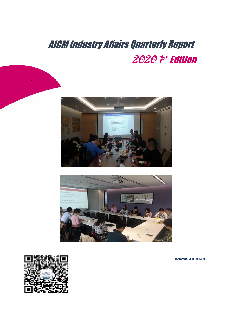# AICM Industry Affairs Quarterly Report 2020 <sup>p‡</sup> Edition





**www.aicm.cn**



-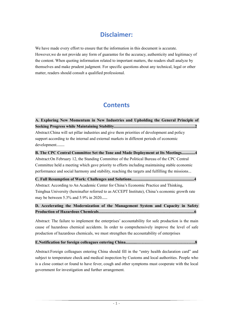# **Disclaimer:**

We have made every effort to ensure that the information in this document is accurate. However,we do not provide any form of guarantee for the accuracy, authenticity and legitimacy of the content. When quoting information related to important matters, the readers shallanalyze by themselves and make prudent judgment. For specific questions about any technical, legal or other matter, readers should consult a qualified professional.

# **Contents**

**A. Exploring New Momentum in New Industries and Upholding the General Principle of Seeking Progress while Maintaining Stability...............................................................................2** Abstract: China will set pillar industries and give them priorities of development and policy support according to the internal and external markets in different periods of economic development.......

**B. The CPC Central Committee Set the Tone and Made Deployment at Its Meetings.............4** Abstract:On February 12, the Standing Committee of the Political Bureau of the CPC Central Committee held a meeting which gave priority to efforts including maintaining stable economic performance and social harmony and stability, reaching the targets and fulfilling the missions...

**C. Full Resumption of Work: Challenges and Solutions.............................................................4** Abstract: According to An Academic Center for China's Economic Practice and Thinking, Tsinghua University (hereinafter referred to asACCEPT Institute), China's economic growth rate may be between 5.3% and 5.9% in 2020.....

## **D. Accelerating the Modernization of the Management System and Capacity in Safety Production of Hazardous Chemicals.............................................................................................6**

Abstract: The failure to implement the enterprises' accountability for safe production is the main cause of hazardous chemical accidents. In order to comprehensively improve the level of safe production of hazardous chemicals, we must strengthen the accountability of enterprises

### **E.Notification for foreign colleagues entering China................................................................8**

Abstract:Foreign colleagues entering China should fill in the "entry health declaration card" and subject to temperature check and medical inspection by Customs and local authorities. People who is a close contact or found to have fever, cough and other symptoms must cooperate with the local government for investigation and further arrangement.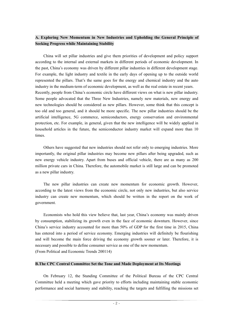# **A. Exploring New Momentum in New Industries and Upholding the General Principle of Seeking Progress while Maintaining Stability**

China will set pillar industries and give them priorities of development and policy support according to the internal and external markets in different periods of economic development. In the past, China's economy was driven by different pillar industries in different development stage. For example, the light industry and textile in the early days of opening up to the outside world represented the pillars.That's the same goes for the energy and chemical industry and the auto industry in the medium-term of economic development, as well as the real estate in recent years. Recently, people from China's economic circle have different views on what is new pillar industry. Some people advocated that the Three New Industries, namely new materials, new energy and new technologies should be considered as new pillars. However, some think that this concept is too old and too general, and it should be more specific.The new pillar industries should be the artificial intelligence, 5G commerce, semiconductors, energy conservation and environmental protection, etc. For example, in general, given that the new intelligence will be widely applied in household articles in the future, the semiconductor industry market will expand more than 10 times.<br>Others have suggested that new industries should not refer only to emerging industries. More

importantly, the original pillar industries may become new pillars after being upgraded, such as new energy vehicle industry. Apart from buses and official vehicle, there are as many as 200 million private cars in China. Therefore, the automobile market is still large and can be promoted as a new pillar industry.

The new pillar industries can create new momentum for economic growth.However, according to the latest views from the economic circle, not only new industries, but also service industry can create new momentum, which should be written in the report on the work of government.

Economists who hold this view believe that, last year, China's economy was mainly driven by consumption, stabilizing its growth even in the face of economic downturn. However, since China's service industry accounted for more than 50% of GDP for the first time in 2015, China has entered into a period of service economy. Emerging industries will definitely be flourishing and will become the main force driving the economy growth sooner or later. Therefore, it is necessary and possible to define consumer service as one of the new momentum. (From Political and Economic Trends 200114)

#### **B.The CPC Central Committee Set the Tone and Made Deployment at Its Meetings**

On February 12, the Standing Committee of the Political Bureau of the CPC Central Committee held a meeting which gave priority to efforts including maintaining stable economic performance and social harmony and stability, reaching the targets and fulfilling the missions set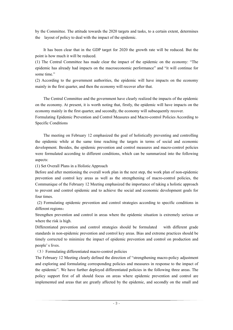by the Committee. The attitude towards the 2020 targets and tasks, to a certain extent, determines the layout of policy to deal with the impact of the epidemic.

It has been clear that in the GDP target for 2020 the growth rate will be reduced. But the point is how much it will be reduced.<br>(1) The Central Committee has made clear the impact of the epidemic on the economy: "The

epidemic has already had impacts on the macroeconomic performance" and "itwill continue for some time."

(2) According to the government authorities, the epidemic will have impacts on the economy mainly in the first quarter, and then the economy will recover after that.

The Central Committee and the government have clearly realized the impacts of the epidemic on the economy. At present, it is worth noting that, firstly, the epidemic will have impacts on the economy mainly in the first quarter, and secondly, the economy will subsequently recover.

Formulating Epidemic Prevention and Control Measures and Macro-control Policies According to Specific Conditions

The meeting on February 12 emphasized the goal of holistically preventing and controlling the epidemic while at the same time reaching the targets in terms of social and economic development. Besides, the epidemic prevention and control measures and macro-control policies were formulated according to different conditions, which can be summarized into the following aspects:

(1) Set Overall Plans in a Holistic Approach

Before and after mentioning the overall work plan in the next step, the work plan of non-epidemic prevention and control key areas as well as the strengthening of macro-control policies, the Communique of the February 12 Meeting emphasized the importance of taking a holistic approach to prevent and control epidemic and to achieve the social and economic development goals for four times.

(2) Formulating epidemic prevention and control strategies according to specific conditions in different regions:

Strengthen prevention and control in areas where the epidemic situation is extremely serious or where the risk is high.

Differentiated prevention and control strategies should be formulated with different grade standards in non-epidemic prevention and control key areas. Bias and extreme practices should be timely corrected to minimize the impact of epidemic prevention and control on production and people's lives.

(3)Formulating differentiated macro-control policies

The February 12 Meeting clearly defined the direction of "strengthening macro-policy adjustment and exploring and formulating corresponding policies and measures in response to the impact of the epidemic". We have further deployed differentiated policies in the following three areas. The policy support first of all should focus on areas where epidemic prevention and control are implemented and areas that are greatly affected by the epidemic, and secondly on the small and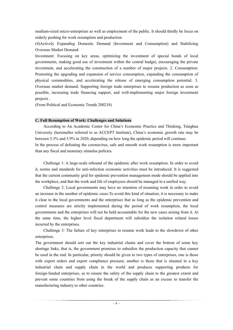medium-sized micro-enterprises as well as employment of the public. It should thirdly be focus on orderly pushing for work resumption and production.

(4)Actively Expanding Domestic Demand (Investment and Consumption) and Stabilizing Overseas Market Demand:

Investment: Focusing on key areas, optimizing the investment of special bonds of local governments, making good use of investment within the central budget, encouraging the private investment, and accelerating the construction of a number of major projects. 2. Consumption: Promoting the upgrading and expansion of service consumption, expanding the consumption of physical commodities, and accelerating the release of emerging consumption potential. 3. Overseas market demand: Supporting foreign trade enterprises to resume production as soon as possible, increasing trade financing support, and well-implementing major foreign investment projects .

(From Political and Economic Trends 200218)

#### **C. Full Resumption of Work: Challenges and Solutions**

According to An Academic Center for China's Economic Practice and Thinking, Tsinghua University (hereinafter referred to as ACCEPT Institute), China's economic growth rate may be between 5.3% and 5.9% in 2020, depending on how long the epidemic period will continue. In the process of defeating the coronavirus, safe and smooth work resumption is more important than any fiscal and monetary stimulus policies.

Challenge 1: A large-scale rebound of the epidemic afterwork resumption. In order to avoid it, norms and standards for anti-infection economic activities must be introduced. It is suggested that the current community grid for epidemic prevention management mode should be applied into the workplace, and that the work and life of employees should be managed in a unified way.

Challenge 2: Local governments may have no intention of resuming work in order to avoid an increase in the number of epidemic cases.To avoid this kind of situation, it is necessary to make it clear to the local governments and the enterprises that as long as the epidemic prevention and control measures are strictly implemented during the period of work resumption, the local governments and the enterprises will not be held accountable for the new cases arising from it. At the same time, the higher level fiscal department will subsidize the isolation related losses incurred by the enterprises.

Challenge 3: The failure of key enterprises to resume work leads to the slowdown of other enterprises.

The government should sort out the key industrial chains and cover the bottom of some key shortage links, that is, the government promises to subsidize the production capacity that cannot be used in the end. In particular, priority should be given to two types of enterprises, one is those with export orders and export compliance pressure; another is those that is situated in a key industrial chain and supply chain in the world and produces supporting products for foreign-funded enterprises, as to ensure the safety of the supply chain to the greatest extent and prevent some countries from using the break of the supply chain as an excuse to transfer the manufacturing industry to other countries.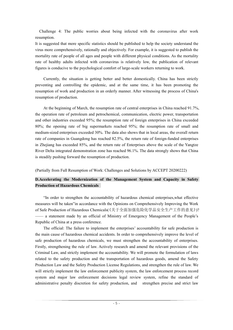Challenge 4: The public worries about being infected with the coronavirus after work resumption.

It is suggested that more specific statistics should be published to help the society understand the virus more comprehensively, rationally and objectively. For example, it is suggested to publish the mortality rate of people of all ages and people with different physical conditions. As the mortality rate of healthy adults infected with coronavirus is relatively low, the publication of relevant figures is conducive to the psychological comfort of large-scale workers returning to work.

Currently, the situation is getting better and better domestically. China has been strictly preventing and controlling the epidemic, and at the same time, it has been promoting the resumption of work and production in an orderly manner. After witnessing the process of China's resumption of production.

At the beginning of March, the resumption rate of central enterprises in China reached 91.7%, the operation rate of petroleum and petrochemical, communication, electric power, transportation and other industries exceeded 95%; the resumption rate of foreign enterprises in China exceeded 80%; the opening rate of big supermarkets reached 95%; the resumption rate of small and medium-sized enterprises exceeded 30%. The data also shows that in local areas, the overall return rate of companies in Guangdong has reached 82.5%, the return rate of foreign-funded enterprises in Zhejiang has exceeded 85%, and the return rate of Enterprises above the scale of the Yangtze River Delta integrated demonstration zone has reached 96.1%. The data strongly shows that China is steadily pushing forward the resumption of production.

(Partially from Full Resumption of Work: Challenges and Solutions by ACCEPT 20200222)

## **D.Accelerating the Modernization of the Management System and Capacity in Safety Production of Hazardous Chemicals**

"In order to strengthen the accountability of hazardous chemical enterprises,what effective measures will be taken"in accordance with the Opinions on Comprehensively Improving the Work of Safe Production of Hazardous Chemicals(《关于全面加强危险化学品安全生产工作的意见》)? —— a statement made by an official of Ministry of Emergency Management of the People's Republic of China at a press conference.

The official: The failure to implement the enterprises' accountability for safe production is the main cause of hazardous chemical accidents. In order to comprehensively improve the level of safe production of hazardous chemicals, we must strengthen the accountability of enterprises. Firstly, strengthening the rule of law. Actively research and amend the relevant provisions of the Criminal Law, and strictly implement the accountability. We will promote the formulation of laws related to the safety production and the transportation of hazardous goods, amend the Safety Production Law and the Safety Production License Regulations, and strengthen the rule of law. We will strictly implement the law enforcement publicity system, the law enforcement process record system and major law enforcement decisions legal review system, refine the standard of administrative penalty discretion for safety production, and strengthen precise and strict law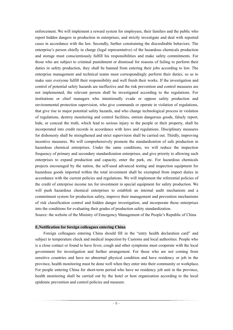enforcement. We will implement a reward system for employees, their families and the public who report hidden dangers in production in enterprises, and strictly investigate and deal with reported cases in accordance with the law. Secondly, further constraining the discreditable behaviors. The enterprise's person chiefly in charge (legal representative) of the hazardous chemicals production and storage must conscientiously fulfill his responsibilities and make safety commitments. For those who are subject to criminal punishment or dismissal for reasons of failing to perform their duties in safety production, they shall be banned from entering their jobs according to law. The enterprise management and technical teams must correspondingly perform their duties, so as to make sure everyone fulfill their responsibility and well finish their works. If the investigation and control of potential safety hazards are ineffective and the risk prevention and control measures are not implemented, the relevant person shall be investigated according to the regulations. For institutions or chief managers who intentionally evade or oppose safety production and environmental protection supervision, who give commands or operate in violation of regulations, that give rise to major potential safety hazards, and who change technological process in violation of regulations, destroy monitoring and control facilities, entrain dangerous goods, falsely report, hide, or conceal the truth, which lead to serious injury to the people or their property, shall be incorporated into credit records in accordance with laws and regulations. Disciplinary measures for dishonesty shall be strengthened and strict supervision shall be carried out. Thirdly, improving incentive measures. We will comprehensively promote the standardization of safe production in hazardous chemical enterprises. Under the same conditions, we will reduce the inspection frequency of primary and secondary standardization enterprises, and give priority to allowing such enterprises to expand production and capacity, enter the park, etc. For hazardous chemicals projects encouraged by the nation, the self-used advanced testing and inspection equipment for hazardous goods imported within the total investment shall be exempted from import duties in accordance with the current policies and regulations. We will implement the referential policies of the credit of enterprise income tax for investment in special equipment for safety production. We will push hazardous chemical enterprises to establish an internal audit mechanism and a commitment system for production safety, improve their management and prevention mechanisms of risk classification control and hidden danger investigation, and incorporate those enterprises into the conditions for evaluating their grades of production safety standardization.

Source: the website of the Ministry of Emergency Management of the People's Republic of China

#### **E.Notification for foreign colleagues entering China**

Foreign colleagues entering China should fill in the "entry health declaration card" and subject to temperature check and medical inspection by Customs and local authorities. People who is a close contact or found to have fever, cough and other symptoms must cooperate with the local government for investigation and further arrangement. For those who are not coming from sensitive countries and have no abnormal physical condition and have residency or job in the province, health monitoring must be done well when they enter into their community or workplace. For people entering China for short-term period who have no residency job unit in the province, health monitoring shall be carried out by the hotel or host organization according to the local epidemic prevention and control policies and measure.